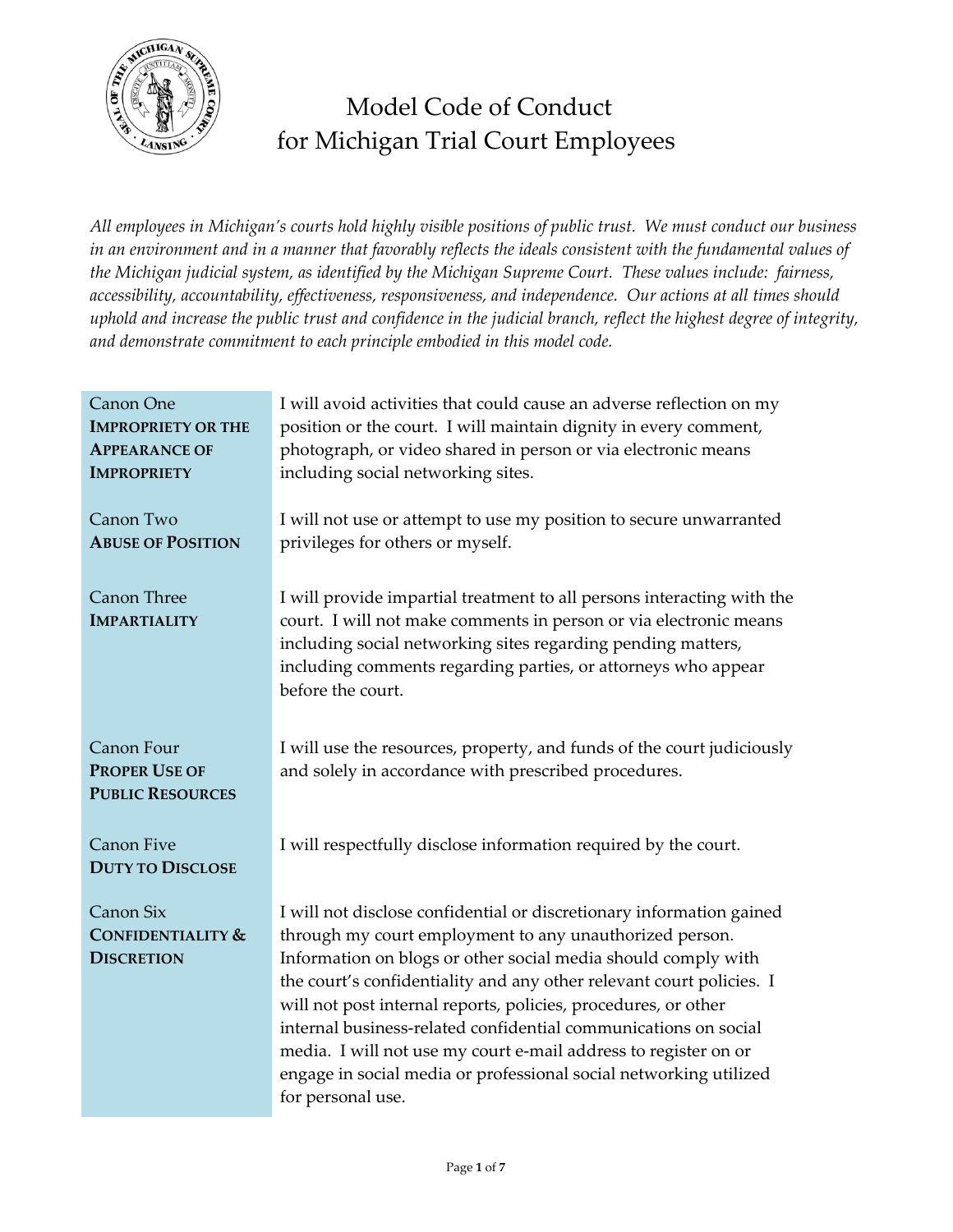

# Model Code of Conduct for Michigan Trial Court Employees

*All employees in Michigan's courts hold highly visible positions of public trust. We must conduct our business in an environment and in a manner that favorably reflects the ideals consistent with the fundamental values of the Michigan judicial system, as identified by the Michigan Supreme Court. These values include: fairness, accessibility, accountability, effectiveness, responsiveness, and independence. Our actions at all times should uphold and increase the public trust and confidence in the judicial branch, reflect the highest degree of integrity, and demonstrate commitment to each principle embodied in this model code.*

| Canon One<br><b>IMPROPRIETY OR THE</b><br><b>APPEARANCE OF</b><br><b>IMPROPRIETY</b> | I will avoid activities that could cause an adverse reflection on my<br>position or the court. I will maintain dignity in every comment,<br>photograph, or video shared in person or via electronic means<br>including social networking sites.                                                                                                                                                                                                                                                                                                                            |
|--------------------------------------------------------------------------------------|----------------------------------------------------------------------------------------------------------------------------------------------------------------------------------------------------------------------------------------------------------------------------------------------------------------------------------------------------------------------------------------------------------------------------------------------------------------------------------------------------------------------------------------------------------------------------|
| Canon Two<br><b>ABUSE OF POSITION</b>                                                | I will not use or attempt to use my position to secure unwarranted<br>privileges for others or myself.                                                                                                                                                                                                                                                                                                                                                                                                                                                                     |
| Canon Three<br><b>IMPARTIALITY</b>                                                   | I will provide impartial treatment to all persons interacting with the<br>court. I will not make comments in person or via electronic means<br>including social networking sites regarding pending matters,<br>including comments regarding parties, or attorneys who appear<br>before the court.                                                                                                                                                                                                                                                                          |
| Canon Four<br><b>PROPER USE OF</b><br><b>PUBLIC RESOURCES</b>                        | I will use the resources, property, and funds of the court judiciously<br>and solely in accordance with prescribed procedures.                                                                                                                                                                                                                                                                                                                                                                                                                                             |
| <b>Canon Five</b><br><b>DUTY TO DISCLOSE</b>                                         | I will respectfully disclose information required by the court.                                                                                                                                                                                                                                                                                                                                                                                                                                                                                                            |
| Canon Six<br><b>CONFIDENTIALITY &amp;</b><br><b>DISCRETION</b>                       | I will not disclose confidential or discretionary information gained<br>through my court employment to any unauthorized person.<br>Information on blogs or other social media should comply with<br>the court's confidentiality and any other relevant court policies. I<br>will not post internal reports, policies, procedures, or other<br>internal business-related confidential communications on social<br>media. I will not use my court e-mail address to register on or<br>engage in social media or professional social networking utilized<br>for personal use. |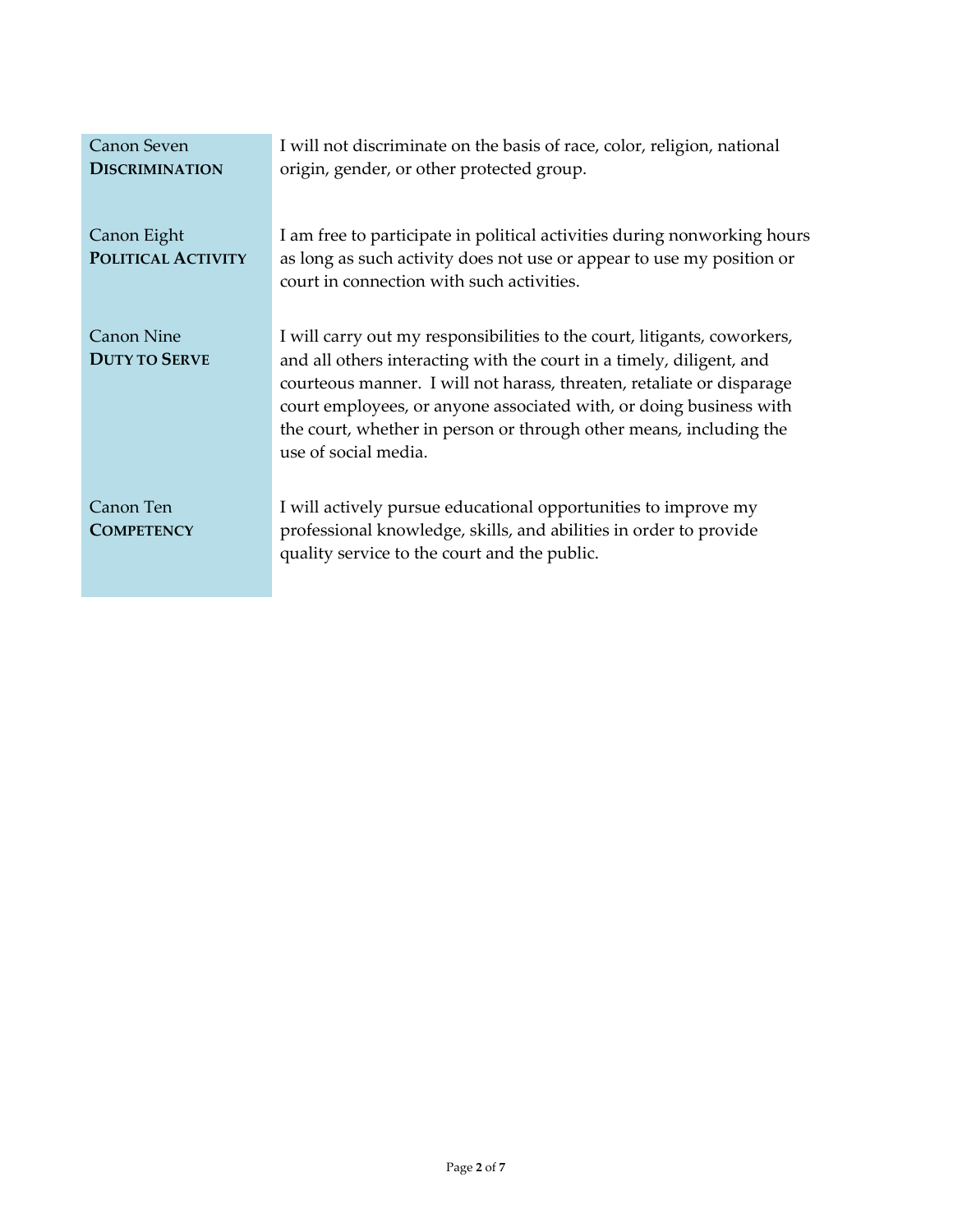| <b>Canon Seven</b><br><b>DISCRIMINATION</b> | I will not discriminate on the basis of race, color, religion, national<br>origin, gender, or other protected group.                                                                                                                                                                                                                                                                          |
|---------------------------------------------|-----------------------------------------------------------------------------------------------------------------------------------------------------------------------------------------------------------------------------------------------------------------------------------------------------------------------------------------------------------------------------------------------|
| Canon Eight<br>POLITICAL ACTIVITY           | I am free to participate in political activities during nonworking hours<br>as long as such activity does not use or appear to use my position or<br>court in connection with such activities.                                                                                                                                                                                                |
| Canon Nine<br><b>DUTY TO SERVE</b>          | I will carry out my responsibilities to the court, litigants, coworkers,<br>and all others interacting with the court in a timely, diligent, and<br>courteous manner. I will not harass, threaten, retaliate or disparage<br>court employees, or anyone associated with, or doing business with<br>the court, whether in person or through other means, including the<br>use of social media. |
| Canon Ten<br><b>COMPETENCY</b>              | I will actively pursue educational opportunities to improve my<br>professional knowledge, skills, and abilities in order to provide<br>quality service to the court and the public.                                                                                                                                                                                                           |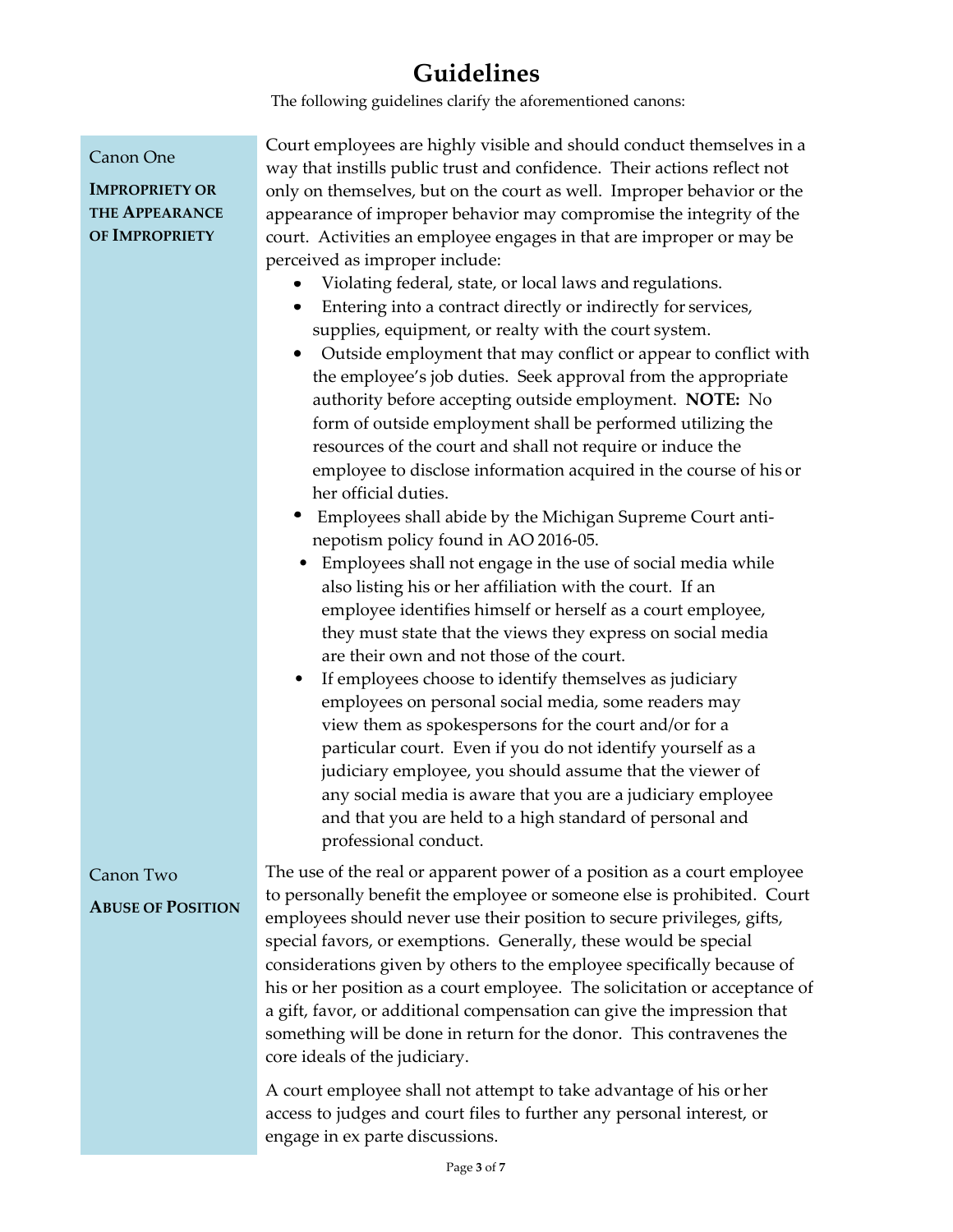# **Guidelines**

The following guidelines clarify the aforementioned canons:

| Canon One<br><b>IMPROPRIETY OR</b><br><b>THE APPEARANCE</b><br>OF IMPROPRIETY | Court employees are highly visible and should conduct themselves in a<br>way that instills public trust and confidence. Their actions reflect not<br>only on themselves, but on the court as well. Improper behavior or the<br>appearance of improper behavior may compromise the integrity of the<br>court. Activities an employee engages in that are improper or may be<br>perceived as improper include:<br>Violating federal, state, or local laws and regulations.<br>Entering into a contract directly or indirectly for services,<br>supplies, equipment, or realty with the court system.<br>Outside employment that may conflict or appear to conflict with<br>the employee's job duties. Seek approval from the appropriate<br>authority before accepting outside employment. NOTE: No<br>form of outside employment shall be performed utilizing the<br>resources of the court and shall not require or induce the<br>employee to disclose information acquired in the course of his or<br>her official duties.<br>Employees shall abide by the Michigan Supreme Court anti-<br>nepotism policy found in AO 2016-05.<br>Employees shall not engage in the use of social media while<br>$\bullet$<br>also listing his or her affiliation with the court. If an<br>employee identifies himself or herself as a court employee,<br>they must state that the views they express on social media<br>are their own and not those of the court.<br>If employees choose to identify themselves as judiciary<br>٠<br>employees on personal social media, some readers may<br>view them as spokespersons for the court and/or for a<br>particular court. Even if you do not identify yourself as a<br>judiciary employee, you should assume that the viewer of<br>any social media is aware that you are a judiciary employee<br>and that you are held to a high standard of personal and |
|-------------------------------------------------------------------------------|---------------------------------------------------------------------------------------------------------------------------------------------------------------------------------------------------------------------------------------------------------------------------------------------------------------------------------------------------------------------------------------------------------------------------------------------------------------------------------------------------------------------------------------------------------------------------------------------------------------------------------------------------------------------------------------------------------------------------------------------------------------------------------------------------------------------------------------------------------------------------------------------------------------------------------------------------------------------------------------------------------------------------------------------------------------------------------------------------------------------------------------------------------------------------------------------------------------------------------------------------------------------------------------------------------------------------------------------------------------------------------------------------------------------------------------------------------------------------------------------------------------------------------------------------------------------------------------------------------------------------------------------------------------------------------------------------------------------------------------------------------------------------------------------------------------------------------------------------------------------------------------------|
|                                                                               | professional conduct.                                                                                                                                                                                                                                                                                                                                                                                                                                                                                                                                                                                                                                                                                                                                                                                                                                                                                                                                                                                                                                                                                                                                                                                                                                                                                                                                                                                                                                                                                                                                                                                                                                                                                                                                                                                                                                                                       |
| Canon Two<br><b>ABUSE OF POSITION</b>                                         | The use of the real or apparent power of a position as a court employee<br>to personally benefit the employee or someone else is prohibited. Court<br>employees should never use their position to secure privileges, gifts,<br>special favors, or exemptions. Generally, these would be special<br>considerations given by others to the employee specifically because of<br>his or her position as a court employee. The solicitation or acceptance of<br>a gift, favor, or additional compensation can give the impression that<br>something will be done in return for the donor. This contravenes the<br>core ideals of the judiciary.                                                                                                                                                                                                                                                                                                                                                                                                                                                                                                                                                                                                                                                                                                                                                                                                                                                                                                                                                                                                                                                                                                                                                                                                                                                 |
|                                                                               | A court employee shall not attempt to take advantage of his or her<br>access to judges and court files to further any personal interest, or                                                                                                                                                                                                                                                                                                                                                                                                                                                                                                                                                                                                                                                                                                                                                                                                                                                                                                                                                                                                                                                                                                                                                                                                                                                                                                                                                                                                                                                                                                                                                                                                                                                                                                                                                 |

engage in ex parte discussions.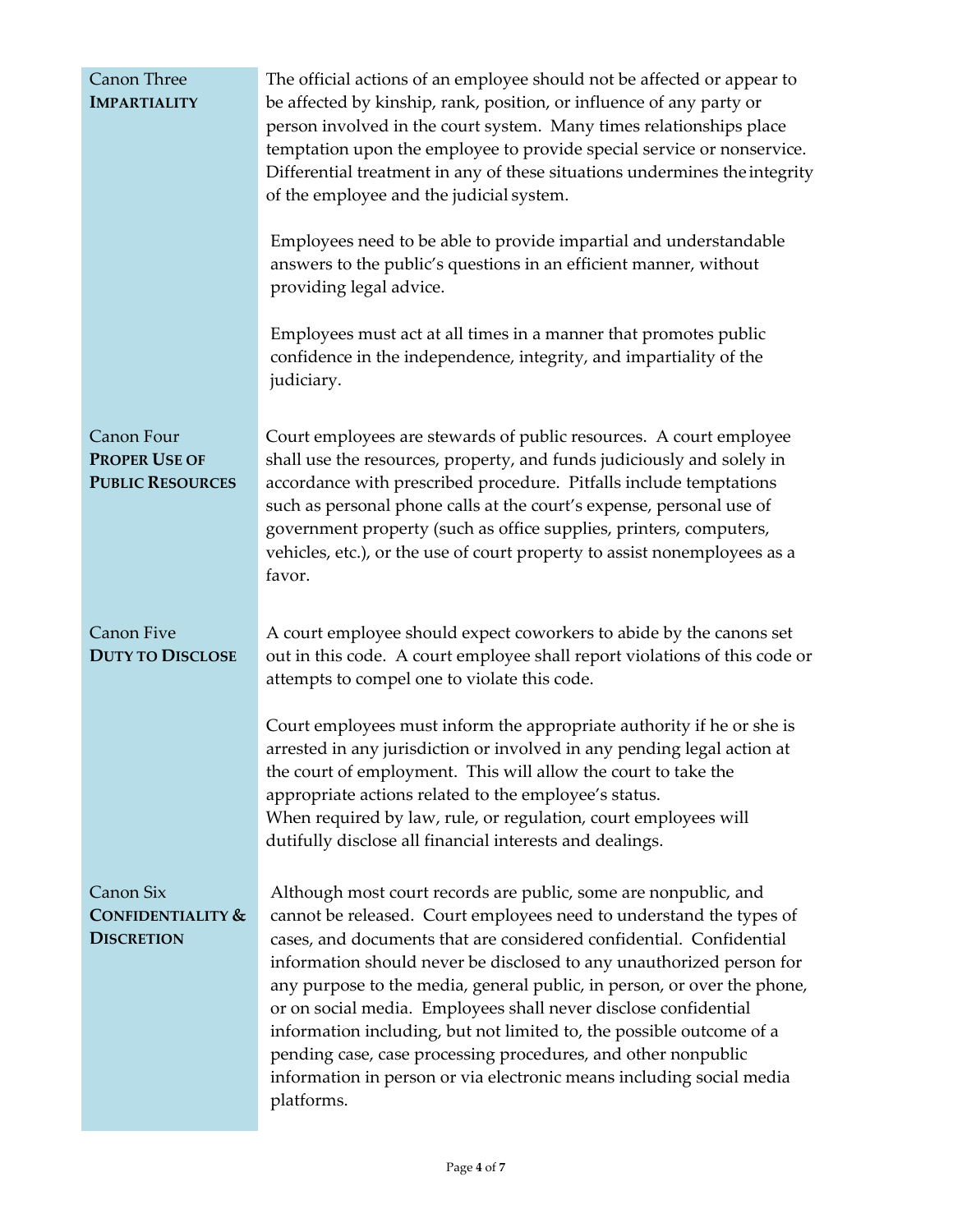| <b>Canon Three</b><br><b>IMPARTIALITY</b>                     | The official actions of an employee should not be affected or appear to<br>be affected by kinship, rank, position, or influence of any party or<br>person involved in the court system. Many times relationships place<br>temptation upon the employee to provide special service or nonservice.<br>Differential treatment in any of these situations undermines the integrity<br>of the employee and the judicial system.                                                                                                                                                                                                                                         |
|---------------------------------------------------------------|--------------------------------------------------------------------------------------------------------------------------------------------------------------------------------------------------------------------------------------------------------------------------------------------------------------------------------------------------------------------------------------------------------------------------------------------------------------------------------------------------------------------------------------------------------------------------------------------------------------------------------------------------------------------|
|                                                               | Employees need to be able to provide impartial and understandable<br>answers to the public's questions in an efficient manner, without<br>providing legal advice.                                                                                                                                                                                                                                                                                                                                                                                                                                                                                                  |
|                                                               | Employees must act at all times in a manner that promotes public<br>confidence in the independence, integrity, and impartiality of the<br>judiciary.                                                                                                                                                                                                                                                                                                                                                                                                                                                                                                               |
| Canon Four<br><b>PROPER USE OF</b><br><b>PUBLIC RESOURCES</b> | Court employees are stewards of public resources. A court employee<br>shall use the resources, property, and funds judiciously and solely in<br>accordance with prescribed procedure. Pitfalls include temptations<br>such as personal phone calls at the court's expense, personal use of<br>government property (such as office supplies, printers, computers,<br>vehicles, etc.), or the use of court property to assist nonemployees as a<br>favor.                                                                                                                                                                                                            |
| <b>Canon Five</b><br><b>DUTY TO DISCLOSE</b>                  | A court employee should expect coworkers to abide by the canons set<br>out in this code. A court employee shall report violations of this code or<br>attempts to compel one to violate this code.                                                                                                                                                                                                                                                                                                                                                                                                                                                                  |
|                                                               | Court employees must inform the appropriate authority if he or she is<br>arrested in any jurisdiction or involved in any pending legal action at<br>the court of employment. This will allow the court to take the<br>appropriate actions related to the employee's status.<br>When required by law, rule, or regulation, court employees will<br>dutifully disclose all financial interests and dealings.                                                                                                                                                                                                                                                         |
| Canon Six<br>CONFIDENTIALITY &<br><b>DISCRETION</b>           | Although most court records are public, some are nonpublic, and<br>cannot be released. Court employees need to understand the types of<br>cases, and documents that are considered confidential. Confidential<br>information should never be disclosed to any unauthorized person for<br>any purpose to the media, general public, in person, or over the phone,<br>or on social media. Employees shall never disclose confidential<br>information including, but not limited to, the possible outcome of a<br>pending case, case processing procedures, and other nonpublic<br>information in person or via electronic means including social media<br>platforms. |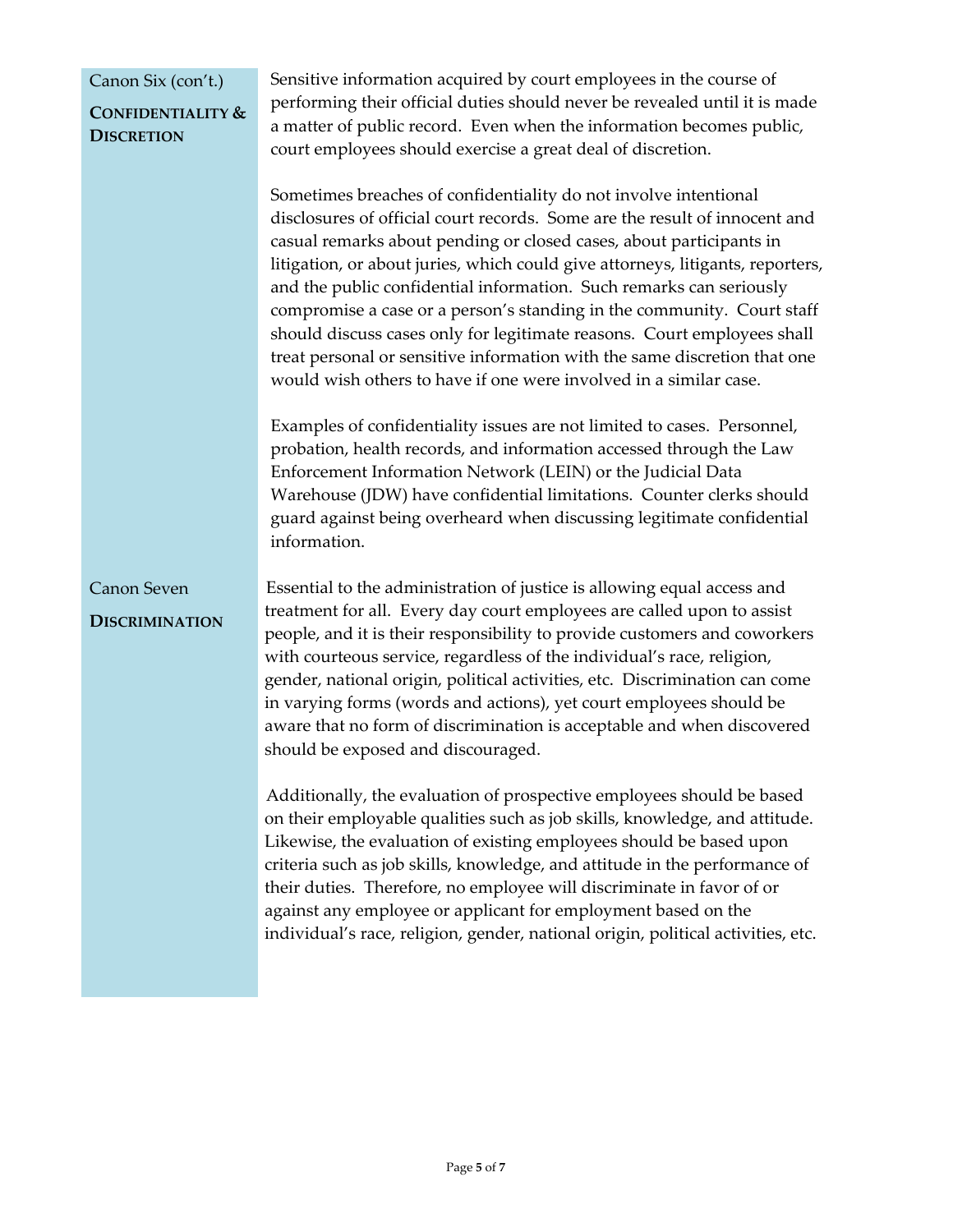#### Canon Six (con't.)

### **CONFIDENTIALITY & DISCRETION**

Sensitive information acquired by court employees in the course of performing their official duties should never be revealed until it is made a matter of public record. Even when the information becomes public, court employees should exercise a great deal of discretion.

Sometimes breaches of confidentiality do not involve intentional disclosures of official court records. Some are the result of innocent and casual remarks about pending or closed cases, about participants in litigation, or about juries, which could give attorneys, litigants, reporters, and the public confidential information. Such remarks can seriously compromise a case or a person's standing in the community. Court staff should discuss cases only for legitimate reasons. Court employees shall treat personal or sensitive information with the same discretion that one would wish others to have if one were involved in a similar case.

Examples of confidentiality issues are not limited to cases. Personnel, probation, health records, and information accessed through the Law Enforcement Information Network (LEIN) or the Judicial Data Warehouse (JDW) have confidential limitations. Counter clerks should guard against being overheard when discussing legitimate confidential information.

Essential to the administration of justice is allowing equal access and treatment for all. Every day court employees are called upon to assist people, and it is their responsibility to provide customers and coworkers with courteous service, regardless of the individual's race, religion, gender, national origin, political activities, etc. Discrimination can come in varying forms (words and actions), yet court employees should be aware that no form of discrimination is acceptable and when discovered should be exposed and discouraged. Canon Seven **DISCRIMINATION**

> Additionally, the evaluation of prospective employees should be based on their employable qualities such as job skills, knowledge, and attitude. Likewise, the evaluation of existing employees should be based upon criteria such as job skills, knowledge, and attitude in the performance of their duties. Therefore, no employee will discriminate in favor of or against any employee or applicant for employment based on the individual's race, religion, gender, national origin, political activities, etc.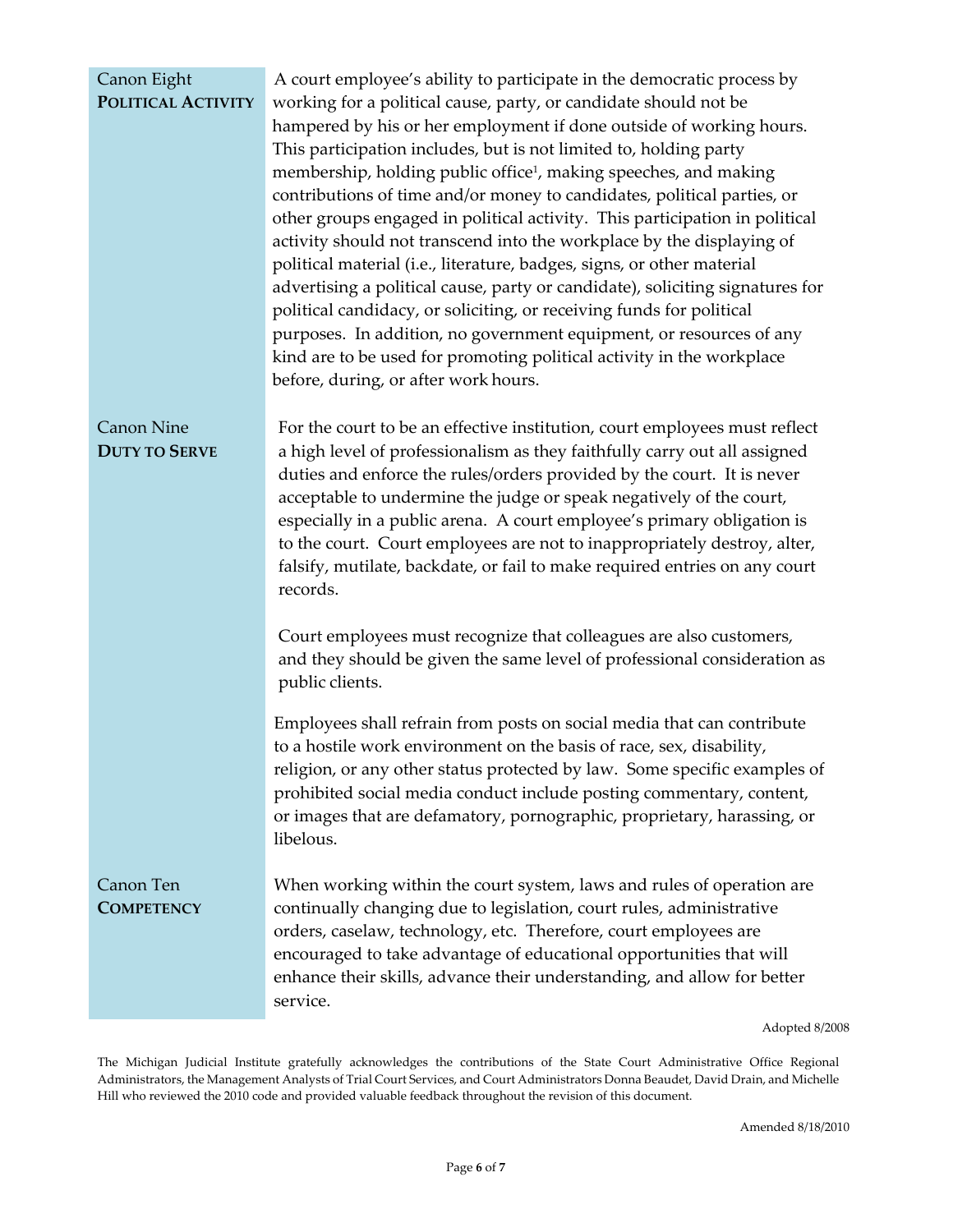#### Canon Eight **POLITICAL ACTIVITY**

A court employee's ability to participate in the democratic process by working for a political cause, party, or candidate should not be hampered by his or her employment if done outside of working hours. This participation includes, but is not limited to, holding party membership, holding public office<sup>1</sup>, making speeches, and making contributions of time and/or money to candidates, political parties, or other groups engaged in political activity. This participation in political activity should not transcend into the workplace by the displaying of political material (i.e., literature, badges, signs, or other material advertising a political cause, party or candidate), soliciting signatures for political candidacy, or soliciting, or receiving funds for political purposes. In addition, no government equipment, or resources of any kind are to be used for promoting political activity in the workplace before, during, or after work hours.

Canon Nine **DUTY TO SERVE** For the court to be an effective institution, court employees must reflect a high level of professionalism as they faithfully carry out all assigned duties and enforce the rules/orders provided by the court. It is never acceptable to undermine the judge or speak negatively of the court, especially in a public arena. A court employee's primary obligation is to the court. Court employees are not to inappropriately destroy, alter, falsify, mutilate, backdate, or fail to make required entries on any court records.

> Court employees must recognize that colleagues are also customers, and they should be given the same level of professional consideration as public clients.

> Employees shall refrain from posts on social media that can contribute to a hostile work environment on the basis of race, sex, disability, religion, or any other status protected by law. Some specific examples of prohibited social media conduct include posting commentary, content, or images that are defamatory, pornographic, proprietary, harassing, or libelous.

### Canon Ten **COMPETENCY**

When working within the court system, laws and rules of operation are continually changing due to legislation, court rules, administrative orders, caselaw, technology, etc. Therefore, court employees are encouraged to take advantage of educational opportunities that will enhance their skills, advance their understanding, and allow for better service.

Adopted 8/2008

The Michigan Judicial Institute gratefully acknowledges the contributions of the State Court Administrative Office Regional Administrators, the Management Analysts of Trial Court Services, and Court Administrators Donna Beaudet, David Drain, and Michelle Hill who reviewed the 2010 code and provided valuable feedback throughout the revision of this document.

Amended 8/18/2010